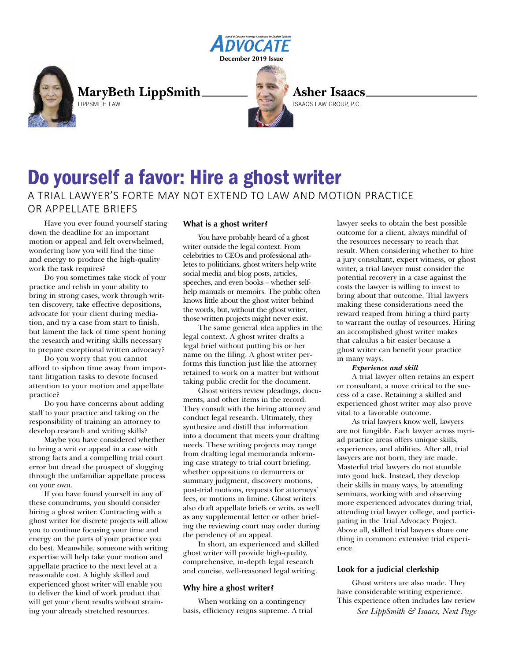



**MaryBeth LippSmith** LIPPSMITH LAW



**Asher Isaacs**

ISAACS LAW GROUP, P.C.

# Do yourself a favor: Hire a ghost writer A TRIAL LAWYER'S FORTE MAY NOT EXTEND TO LAW AND MOTION PRACTICE OR APPELLATE BRIEFS

Have you ever found yourself staring down the deadline for an important motion or appeal and felt overwhelmed, wondering how you will find the time and energy to produce the high-quality work the task requires?

Do you sometimes take stock of your practice and relish in your ability to bring in strong cases, work through written discovery, take effective depositions, advocate for your client during mediation, and try a case from start to finish, but lament the lack of time spent honing the research and writing skills necessary to prepare exceptional written advocacy?

Do you worry that you cannot afford to siphon time away from important litigation tasks to devote focused attention to your motion and appellate practice?

Do you have concerns about adding staff to your practice and taking on the responsibility of training an attorney to develop research and writing skills?

Maybe you have considered whether to bring a writ or appeal in a case with strong facts and a compelling trial court error but dread the prospect of slogging through the unfamiliar appellate process on your own.

If you have found yourself in any of these conundrums, you should consider hiring a ghost writer. Contracting with a ghost writer for discrete projects will allow you to continue focusing your time and energy on the parts of your practice you do best. Meanwhile, someone with writing expertise will help take your motion and appellate practice to the next level at a reasonable cost. A highly skilled and experienced ghost writer will enable you to deliver the kind of work product that will get your client results without straining your already stretched resources.

# **What is a ghost writer?**

You have probably heard of a ghost writer outside the legal context. From celebrities to CEOs and professional athletes to politicians, ghost writers help write social media and blog posts, articles, speeches, and even books – whether selfhelp manuals or memoirs. The public often knows little about the ghost writer behind the words, but, without the ghost writer, those written projects might never exist.

The same general idea applies in the legal context. A ghost writer drafts a legal brief without putting his or her name on the filing. A ghost writer performs this function just like the attorney retained to work on a matter but without taking public credit for the document.

Ghost writers review pleadings, documents, and other items in the record. They consult with the hiring attorney and conduct legal research. Ultimately, they synthesize and distill that information into a document that meets your drafting needs. These writing projects may range from drafting legal memoranda informing case strategy to trial court briefing, whether oppositions to demurrers or summary judgment, discovery motions, post-trial motions, requests for attorneys' fees, or motions in limine. Ghost writers also draft appellate briefs or writs, as well as any supplemental letter or other briefing the reviewing court may order during the pendency of an appeal.

In short, an experienced and skilled ghost writer will provide high-quality, comprehensive, in-depth legal research and concise, well-reasoned legal writing.

# **Why hire a ghost writer?**

When working on a contingency basis, efficiency reigns supreme. A trial lawyer seeks to obtain the best possible outcome for a client, always mindful of the resources necessary to reach that result. When considering whether to hire a jury consultant, expert witness, or ghost writer, a trial lawyer must consider the potential recovery in a case against the costs the lawyer is willing to invest to bring about that outcome. Trial lawyers making these considerations need the reward reaped from hiring a third party to warrant the outlay of resources. Hiring an accomplished ghost writer makes that calculus a bit easier because a ghost writer can benefit your practice in many ways.

## *Experience and skill*

A trial lawyer often retains an expert or consultant, a move critical to the success of a case. Retaining a skilled and experienced ghost writer may also prove vital to a favorable outcome.

As trial lawyers know well, lawyers are not fungible. Each lawyer across myriad practice areas offers unique skills, experiences, and abilities. After all, trial lawyers are not born, they are made. Masterful trial lawyers do not stumble into good luck. Instead, they develop their skills in many ways, by attending seminars, working with and observing more experienced advocates during trial, attending trial lawyer college, and participating in the Trial Advocacy Project. Above all, skilled trial lawyers share one thing in common: extensive trial experience.

# **Look for a judicial clerkship**

Ghost writers are also made. They have considerable writing experience. This experience often includes law review

*See LippSmith & Isaacs, Next Page*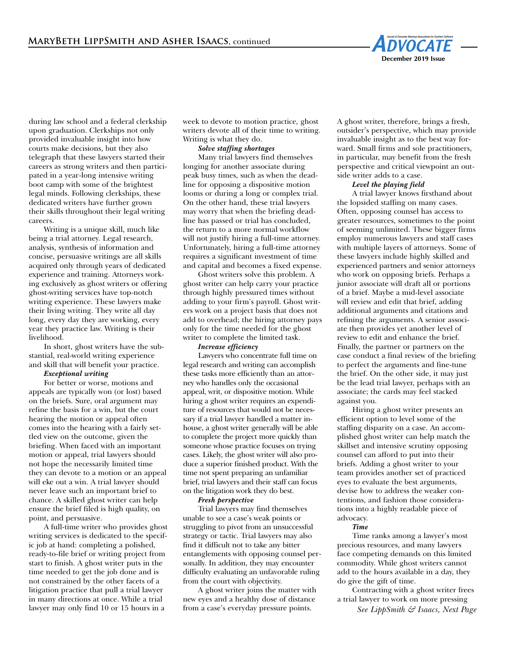

during law school and a federal clerkship upon graduation. Clerkships not only provided invaluable insight into how courts make decisions, but they also telegraph that these lawyers started their careers as strong writers and then participated in a year-long intensive writing boot camp with some of the brightest legal minds. Following clerkships, these dedicated writers have further grown their skills throughout their legal writing careers.

Writing is a unique skill, much like being a trial attorney. Legal research, analysis, synthesis of information and concise, persuasive writings are all skills acquired only through years of dedicated experience and training. Attorneys working exclusively as ghost writers or offering ghost-writing services have top-notch writing experience. These lawyers make their living writing. They write all day long, every day they are working, every year they practice law. Writing is their livelihood.

In short, ghost writers have the substantial, real-world writing experience and skill that will benefit your practice.

#### *Exceptional writing*

For better or worse, motions and appeals are typically won (or lost) based on the briefs. Sure, oral argument may refine the basis for a win, but the court hearing the motion or appeal often comes into the hearing with a fairly settled view on the outcome, given the briefing. When faced with an important motion or appeal, trial lawyers should not hope the necessarily limited time they can devote to a motion or an appeal will eke out a win. A trial lawyer should never leave such an important brief to chance. A skilled ghost writer can help ensure the brief filed is high quality, on point, and persuasive.

A full-time writer who provides ghost writing services is dedicated to the specific job at hand: completing a polished, ready-to-file brief or writing project from start to finish. A ghost writer puts in the time needed to get the job done and is not constrained by the other facets of a litigation practice that pull a trial lawyer in many directions at once. While a trial lawyer may only find 10 or 15 hours in a

week to devote to motion practice, ghost writers devote all of their time to writing. Writing is what they do.

## *Solve staffing shortages*

Many trial lawyers find themselves longing for another associate during peak busy times, such as when the deadline for opposing a dispositive motion looms or during a long or complex trial. On the other hand, these trial lawyers may worry that when the briefing deadline has passed or trial has concluded, the return to a more normal workflow will not justify hiring a full-time attorney. Unfortunately, hiring a full-time attorney requires a significant investment of time and capital and becomes a fixed expense.

Ghost writers solve this problem. A ghost writer can help carry your practice through highly pressured times without adding to your firm's payroll. Ghost writers work on a project basis that does not add to overhead; the hiring attorney pays only for the time needed for the ghost writer to complete the limited task.

#### *Increase efficiency*

Lawyers who concentrate full time on legal research and writing can accomplish these tasks more efficiently than an attorney who handles only the occasional appeal, writ, or dispositive motion. While hiring a ghost writer requires an expenditure of resources that would not be necessary if a trial lawyer handled a matter inhouse, a ghost writer generally will be able to complete the project more quickly than someone whose practice focuses on trying cases. Likely, the ghost writer will also produce a superior finished product. With the time not spent preparing an unfamiliar brief, trial lawyers and their staff can focus on the litigation work they do best.

#### *Fresh perspective*

Trial lawyers may find themselves unable to see a case's weak points or struggling to pivot from an unsuccessful strategy or tactic. Trial lawyers may also find it difficult not to take any bitter entanglements with opposing counsel personally. In addition, they may encounter difficulty evaluating an unfavorable ruling from the court with objectivity.

A ghost writer joins the matter with new eyes and a healthy dose of distance from a case's everyday pressure points.

A ghost writer, therefore, brings a fresh, outsider's perspective, which may provide invaluable insight as to the best way forward. Small firms and sole practitioners, in particular, may benefit from the fresh perspective and critical viewpoint an outside writer adds to a case.

#### *Level the playing field*

A trial lawyer knows firsthand about the lopsided staffing on many cases. Often, opposing counsel has access to greater resources, sometimes to the point of seeming unlimited. These bigger firms employ numerous lawyers and staff cases with multiple layers of attorneys. Some of these lawyers include highly skilled and experienced partners and senior attorneys who work on opposing briefs. Perhaps a junior associate will draft all or portions of a brief. Maybe a mid-level associate will review and edit that brief, adding additional arguments and citations and refining the arguments. A senior associate then provides yet another level of review to edit and enhance the brief. Finally, the partner or partners on the case conduct a final review of the briefing to perfect the arguments and fine-tune the brief. On the other side, it may just be the lead trial lawyer, perhaps with an associate; the cards may feel stacked against you.

Hiring a ghost writer presents an efficient option to level some of the staffing disparity on a case. An accomplished ghost writer can help match the skillset and intensive scrutiny opposing counsel can afford to put into their briefs. Adding a ghost writer to your team provides another set of practiced eyes to evaluate the best arguments, devise how to address the weaker contentions, and fashion those considerations into a highly readable piece of advocacy.

## *Time*

Time ranks among a lawyer's most precious resources, and many lawyers face competing demands on this limited commodity. While ghost writers cannot add to the hours available in a day, they do give the gift of time.

Contracting with a ghost writer frees a trial lawyer to work on more pressing

*See LippSmith & Isaacs, Next Page*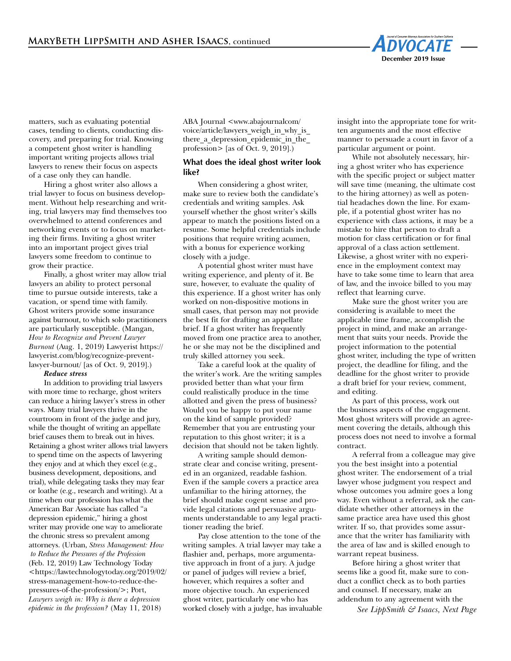

matters, such as evaluating potential cases, tending to clients, conducting discovery, and preparing for trial. Knowing a competent ghost writer is handling important writing projects allows trial lawyers to renew their focus on aspects of a case only they can handle.

Hiring a ghost writer also allows a trial lawyer to focus on business development. Without help researching and writing, trial lawyers may find themselves too overwhelmed to attend conferences and networking events or to focus on marketing their firms. Inviting a ghost writer into an important project gives trial lawyers some freedom to continue to grow their practice.

Finally, a ghost writer may allow trial lawyers an ability to protect personal time to pursue outside interests, take a vacation, or spend time with family. Ghost writers provide some insurance against burnout, to which solo practitioners are particularly susceptible. (Mangan, *How to Recognize and Prevent Lawyer Burnout* (Aug. 1, 2019) Lawyerist https:// lawyerist.com/blog/recognize-preventlawyer-burnout/ [as of Oct. 9, 2019].)

## *Reduce stress*

In addition to providing trial lawyers with more time to recharge, ghost writers can reduce a hiring lawyer's stress in other ways. Many trial lawyers thrive in the courtroom in front of the judge and jury, while the thought of writing an appellate brief causes them to break out in hives. Retaining a ghost writer allows trial lawyers to spend time on the aspects of lawyering they enjoy and at which they excel (e.g., business development, depositions, and trial), while delegating tasks they may fear or loathe (e.g., research and writing). At a time when our profession has what the American Bar Associate has called "a depression epidemic," hiring a ghost writer may provide one way to ameliorate the chronic stress so prevalent among attorneys. (Urban, *Stress Management: How to Reduce the Pressures of the Profession* (Feb. 12, 2019) Law Technology Today <https://lawtechnologytoday.org/2019/02/ stress-management-how-to-reduce-thepressures-of-the-profession/>; Port, *Lawyers weigh in: Why is there a depression epidemic in the profession?* (May 11, 2018)

ABA Journal <www.abajournalcom/ voice/article/lawyers\_weigh\_in\_why\_is\_ there\_a\_depression\_epidemic\_in\_the\_ profession> [as of Oct. 9, 2019].)

# **What does the ideal ghost writer look like?**

When considering a ghost writer, make sure to review both the candidate's credentials and writing samples. Ask yourself whether the ghost writer's skills appear to match the positions listed on a resume. Some helpful credentials include positions that require writing acumen, with a bonus for experience working closely with a judge.

A potential ghost writer must have writing experience, and plenty of it. Be sure, however, to evaluate the quality of this experience. If a ghost writer has only worked on non-dispositive motions in small cases, that person may not provide the best fit for drafting an appellate brief. If a ghost writer has frequently moved from one practice area to another, he or she may not be the disciplined and truly skilled attorney you seek.

Take a careful look at the quality of the writer's work. Are the writing samples provided better than what your firm could realistically produce in the time allotted and given the press of business? Would you be happy to put your name on the kind of sample provided? Remember that you are entrusting your reputation to this ghost writer; it is a decision that should not be taken lightly.

A writing sample should demonstrate clear and concise writing, presented in an organized, readable fashion. Even if the sample covers a practice area unfamiliar to the hiring attorney, the brief should make cogent sense and provide legal citations and persuasive arguments understandable to any legal practitioner reading the brief.

Pay close attention to the tone of the writing samples. A trial lawyer may take a flashier and, perhaps, more argumentative approach in front of a jury. A judge or panel of judges will review a brief, however, which requires a softer and more objective touch. An experienced ghost writer, particularly one who has worked closely with a judge, has invaluable insight into the appropriate tone for written arguments and the most effective manner to persuade a court in favor of a particular argument or point.

While not absolutely necessary, hiring a ghost writer who has experience with the specific project or subject matter will save time (meaning, the ultimate cost to the hiring attorney) as well as potential headaches down the line. For example, if a potential ghost writer has no experience with class actions, it may be a mistake to hire that person to draft a motion for class certification or for final approval of a class action settlement. Likewise, a ghost writer with no experience in the employment context may have to take some time to learn that area of law, and the invoice billed to you may reflect that learning curve.

Make sure the ghost writer you are considering is available to meet the applicable time frame, accomplish the project in mind, and make an arrangement that suits your needs. Provide the project information to the potential ghost writer, including the type of written project, the deadline for filing, and the deadline for the ghost writer to provide a draft brief for your review, comment, and editing.

As part of this process, work out the business aspects of the engagement. Most ghost writers will provide an agreement covering the details, although this process does not need to involve a formal contract.

A referral from a colleague may give you the best insight into a potential ghost writer. The endorsement of a trial lawyer whose judgment you respect and whose outcomes you admire goes a long way. Even without a referral, ask the candidate whether other attorneys in the same practice area have used this ghost writer. If so, that provides some assurance that the writer has familiarity with the area of law and is skilled enough to warrant repeat business.

Before hiring a ghost writer that seems like a good fit, make sure to conduct a conflict check as to both parties and counsel. If necessary, make an addendum to any agreement with the

*See LippSmith & Isaacs, Next Page*